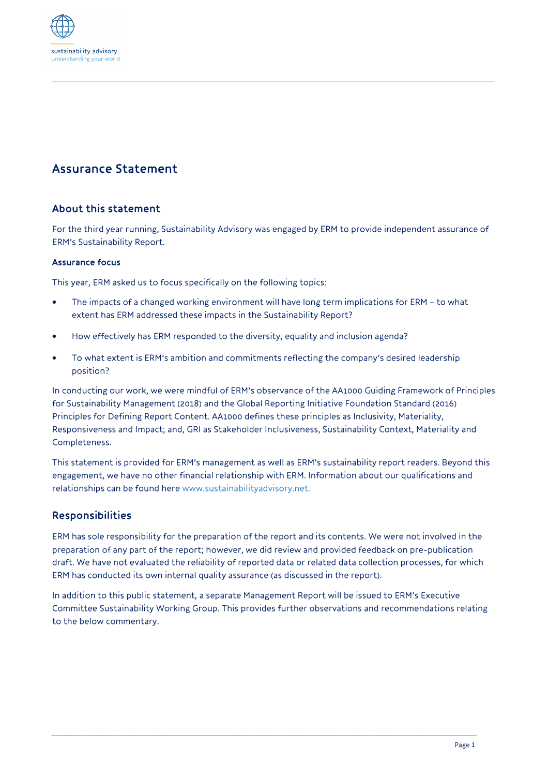

# Assurance Statement

## About this statement

For the third year running, Sustainability Advisory was engaged by ERM to provide independent assurance of ERM's Sustainability Report.

*\_\_\_\_\_\_\_\_\_\_\_\_\_\_\_\_\_\_\_\_\_\_\_\_\_\_\_\_\_\_\_\_\_\_\_\_\_\_\_\_\_\_\_\_\_\_\_\_\_\_\_\_\_\_\_\_\_\_\_\_\_\_\_\_\_\_\_\_\_\_\_\_\_\_\_\_\_\_\_\_\_\_\_\_\_\_\_\_\_\_\_\_\_\_\_\_\_\_\_\_\_\_\_\_\_\_\_*

#### Assurance focus

This year, ERM asked us to focus specifically on the following topics:

- The impacts of a changed working environment will have long term implications for ERM to what extent has ERM addressed these impacts in the Sustainability Report?
- How effectively has ERM responded to the diversity, equality and inclusion agenda?
- To what extent is ERM's ambition and commitments reflecting the company's desired leadership position?

In conducting our work, we were mindful of ERM's observance of the AA1000 Guiding Framework of Principles for Sustainability Management (2018) and the Global Reporting Initiative Foundation Standard (2016) Principles for Defining Report Content. AA1000 defines these principles as Inclusivity, Materiality, Responsiveness and Impact; and, GRI as Stakeholder Inclusiveness, Sustainability Context, Materiality and Completeness.

This statement is provided for ERM's management as well as ERM's sustainability report readers. Beyond this engagement, we have no other financial relationship with ERM. Information about our qualifications and relationships can be found here www.sustainabilityadvisory.net.

## Responsibilities

ERM has sole responsibility for the preparation of the report and its contents. We were not involved in the preparation of any part of the report; however, we did review and provided feedback on pre-publication draft. We have not evaluated the reliability of reported data or related data collection processes, for which ERM has conducted its own internal quality assurance (as discussed in the report).

In addition to this public statement, a separate Management Report will be issued to ERM's Executive Committee Sustainability Working Group. This provides further observations and recommendations relating to the below commentary.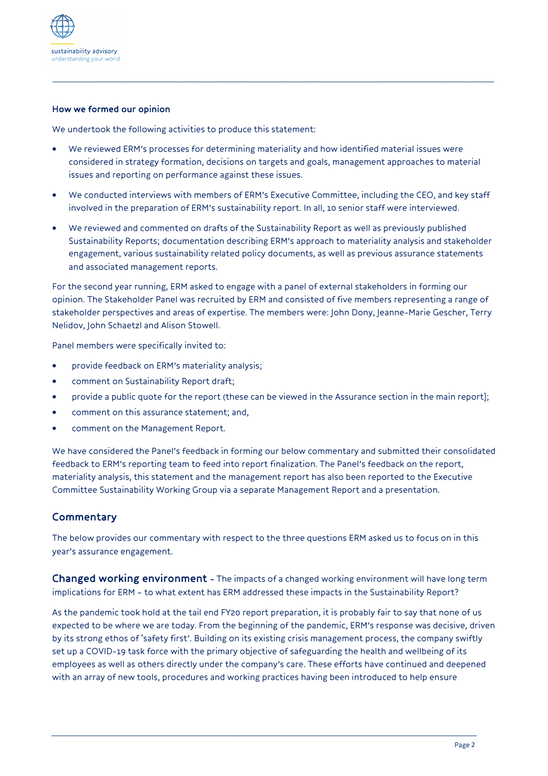

#### How we formed our opinion

We undertook the following activities to produce this statement:

• We reviewed ERM's processes for determining materiality and how identified material issues were considered in strategy formation, decisions on targets and goals, management approaches to material issues and reporting on performance against these issues.

*\_\_\_\_\_\_\_\_\_\_\_\_\_\_\_\_\_\_\_\_\_\_\_\_\_\_\_\_\_\_\_\_\_\_\_\_\_\_\_\_\_\_\_\_\_\_\_\_\_\_\_\_\_\_\_\_\_\_\_\_\_\_\_\_\_\_\_\_\_\_\_\_\_\_\_\_\_\_\_\_\_\_\_\_\_\_\_\_\_\_\_\_\_\_\_\_\_\_\_\_\_\_\_\_\_\_\_*

- We conducted interviews with members of ERM's Executive Committee, including the CEO, and key staff involved in the preparation of ERM's sustainability report. In all, 10 senior staff were interviewed.
- We reviewed and commented on drafts of the Sustainability Report as well as previously published Sustainability Reports; documentation describing ERM's approach to materiality analysis and stakeholder engagement, various sustainability related policy documents, as well as previous assurance statements and associated management reports.

For the second year running, ERM asked to engage with a panel of external stakeholders in forming our opinion. The Stakeholder Panel was recruited by ERM and consisted of five members representing a range of stakeholder perspectives and areas of expertise. The members were: John Dony, Jeanne-Marie Gescher, Terry Nelidov, John Schaetzl and Alison Stowell.

Panel members were specifically invited to:

- provide feedback on ERM's materiality analysis;
- comment on Sustainability Report draft;
- provide a public quote for the report (these can be viewed in the Assurance section in the main report];
- comment on this assurance statement; and,
- comment on the Management Report.

We have considered the Panel's feedback in forming our below commentary and submitted their consolidated feedback to ERM's reporting team to feed into report finalization. The Panel's feedback on the report, materiality analysis, this statement and the management report has also been reported to the Executive Committee Sustainability Working Group via a separate Management Report and a presentation.

## **Commentary**

The below provides our commentary with respect to the three questions ERM asked us to focus on in this year's assurance engagement.

Changed working environment - The impacts of a changed working environment will have long term implications for ERM – to what extent has ERM addressed these impacts in the Sustainability Report?

As the pandemic took hold at the tail end FY20 report preparation, it is probably fair to say that none of us expected to be where we are today. From the beginning of the pandemic, ERM's response was decisive, driven by its strong ethos of 'safety first'. Building on its existing crisis management process, the company swiftly set up a COVID-19 task force with the primary objective of safeguarding the health and wellbeing of its employees as well as others directly under the company's care. These efforts have continued and deepened with an array of new tools, procedures and working practices having been introduced to help ensure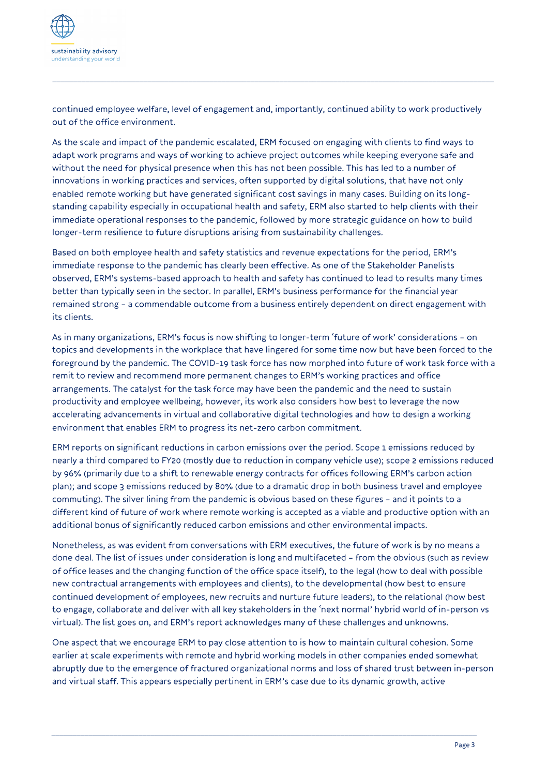

continued employee welfare, level of engagement and, importantly, continued ability to work productively out of the office environment.

*\_\_\_\_\_\_\_\_\_\_\_\_\_\_\_\_\_\_\_\_\_\_\_\_\_\_\_\_\_\_\_\_\_\_\_\_\_\_\_\_\_\_\_\_\_\_\_\_\_\_\_\_\_\_\_\_\_\_\_\_\_\_\_\_\_\_\_\_\_\_\_\_\_\_\_\_\_\_\_\_\_\_\_\_\_\_\_\_\_\_\_\_\_\_\_\_\_\_\_\_\_\_\_\_\_\_\_*

As the scale and impact of the pandemic escalated, ERM focused on engaging with clients to find ways to adapt work programs and ways of working to achieve project outcomes while keeping everyone safe and without the need for physical presence when this has not been possible. This has led to a number of innovations in working practices and services, often supported by digital solutions, that have not only enabled remote working but have generated significant cost savings in many cases. Building on its longstanding capability especially in occupational health and safety, ERM also started to help clients with their immediate operational responses to the pandemic, followed by more strategic guidance on how to build longer-term resilience to future disruptions arising from sustainability challenges.

Based on both employee health and safety statistics and revenue expectations for the period, ERM's immediate response to the pandemic has clearly been effective. As one of the Stakeholder Panelists observed, ERM's systems-based approach to health and safety has continued to lead to results many times better than typically seen in the sector. In parallel, ERM's business performance for the financial year remained strong – a commendable outcome from a business entirely dependent on direct engagement with its clients.

As in many organizations, ERM's focus is now shifting to longer-term 'future of work' considerations – on topics and developments in the workplace that have lingered for some time now but have been forced to the foreground by the pandemic. The COVID-19 task force has now morphed into future of work task force with a remit to review and recommend more permanent changes to ERM's working practices and office arrangements. The catalyst for the task force may have been the pandemic and the need to sustain productivity and employee wellbeing, however, its work also considers how best to leverage the now accelerating advancements in virtual and collaborative digital technologies and how to design a working environment that enables ERM to progress its net-zero carbon commitment.

ERM reports on significant reductions in carbon emissions over the period. Scope 1 emissions reduced by nearly a third compared to FY20 (mostly due to reduction in company vehicle use); scope 2 emissions reduced by 96% (primarily due to a shift to renewable energy contracts for offices following ERM's carbon action plan); and scope 3 emissions reduced by 80% (due to a dramatic drop in both business travel and employee commuting). The silver lining from the pandemic is obvious based on these figures – and it points to a different kind of future of work where remote working is accepted as a viable and productive option with an additional bonus of significantly reduced carbon emissions and other environmental impacts.

Nonetheless, as was evident from conversations with ERM executives, the future of work is by no means a done deal. The list of issues under consideration is long and multifaceted – from the obvious (such as review of office leases and the changing function of the office space itself), to the legal (how to deal with possible new contractual arrangements with employees and clients), to the developmental (how best to ensure continued development of employees, new recruits and nurture future leaders), to the relational (how best to engage, collaborate and deliver with all key stakeholders in the 'next normal' hybrid world of in-person vs virtual). The list goes on, and ERM's report acknowledges many of these challenges and unknowns.

One aspect that we encourage ERM to pay close attention to is how to maintain cultural cohesion. Some earlier at scale experiments with remote and hybrid working models in other companies ended somewhat abruptly due to the emergence of fractured organizational norms and loss of shared trust between in-person and virtual staff. This appears especially pertinent in ERM's case due to its dynamic growth, active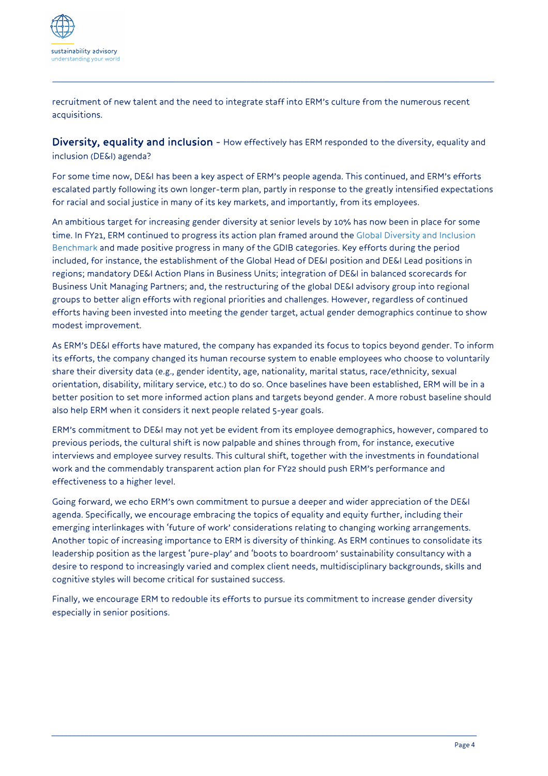

recruitment of new talent and the need to integrate staff into ERM's culture from the numerous recent acquisitions.

Diversity, equality and inclusion - How effectively has ERM responded to the diversity, equality and inclusion (DE&I) agenda?

*\_\_\_\_\_\_\_\_\_\_\_\_\_\_\_\_\_\_\_\_\_\_\_\_\_\_\_\_\_\_\_\_\_\_\_\_\_\_\_\_\_\_\_\_\_\_\_\_\_\_\_\_\_\_\_\_\_\_\_\_\_\_\_\_\_\_\_\_\_\_\_\_\_\_\_\_\_\_\_\_\_\_\_\_\_\_\_\_\_\_\_\_\_\_\_\_\_\_\_\_\_\_\_\_\_\_\_*

For some time now, DE&I has been a key aspect of ERM's people agenda. This continued, and ERM's efforts escalated partly following its own longer-term plan, partly in response to the greatly intensified expectations for racial and social justice in many of its key markets, and importantly, from its employees.

An ambitious target for increasing gender diversity at senior levels by 10% has now been in place for some time. In FY21, ERM continued to progress its action plan framed around the Global Diversity and Inclusion Benchmark and made positive progress in many of the GDIB categories. Key efforts during the period included, for instance, the establishment of the Global Head of DE&I position and DE&I Lead positions in regions; mandatory DE&I Action Plans in Business Units; integration of DE&I in balanced scorecards for Business Unit Managing Partners; and, the restructuring of the global DE&I advisory group into regional groups to better align efforts with regional priorities and challenges. However, regardless of continued efforts having been invested into meeting the gender target, actual gender demographics continue to show modest improvement.

As ERM's DE&I efforts have matured, the company has expanded its focus to topics beyond gender. To inform its efforts, the company changed its human recourse system to enable employees who choose to voluntarily share their diversity data (e.g., gender identity, age, nationality, marital status, race/ethnicity, sexual orientation, disability, military service, etc.) to do so. Once baselines have been established, ERM will be in a better position to set more informed action plans and targets beyond gender. A more robust baseline should also help ERM when it considers it next people related 5-year goals.

ERM's commitment to DE&I may not yet be evident from its employee demographics, however, compared to previous periods, the cultural shift is now palpable and shines through from, for instance, executive interviews and employee survey results. This cultural shift, together with the investments in foundational work and the commendably transparent action plan for FY22 should push ERM's performance and effectiveness to a higher level.

Going forward, we echo ERM's own commitment to pursue a deeper and wider appreciation of the DE&I agenda. Specifically, we encourage embracing the topics of equality and equity further, including their emerging interlinkages with 'future of work' considerations relating to changing working arrangements. Another topic of increasing importance to ERM is diversity of thinking. As ERM continues to consolidate its leadership position as the largest 'pure-play' and 'boots to boardroom' sustainability consultancy with a desire to respond to increasingly varied and complex client needs, multidisciplinary backgrounds, skills and cognitive styles will become critical for sustained success.

Finally, we encourage ERM to redouble its efforts to pursue its commitment to increase gender diversity especially in senior positions.